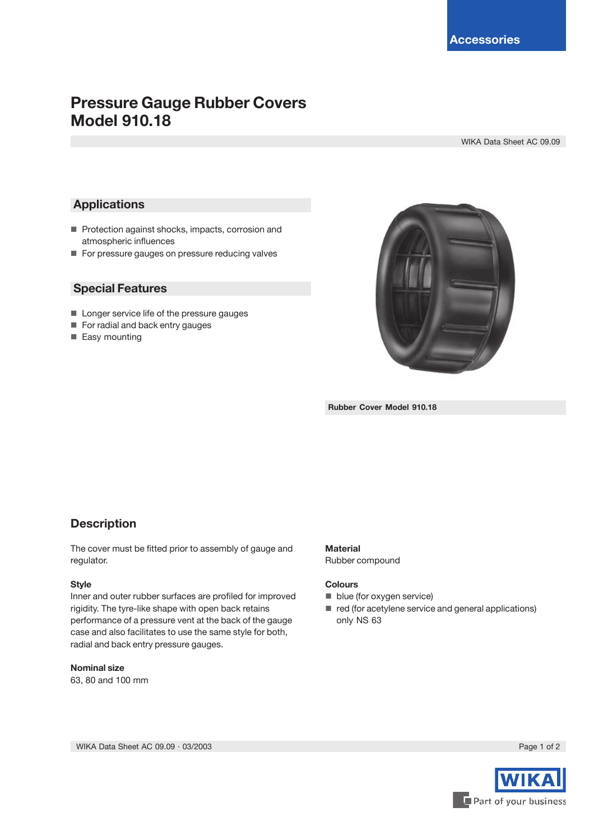# **Pressure Gauge Rubber Covers Model 910.18**

WIKA Data Sheet AC 09.09

## **Applications**

- Protection against shocks, impacts, corrosion and atmospheric influences
- For pressure gauges on pressure reducing valves

### **Special Features**

- Longer service life of the pressure gauges
- For radial and back entry gauges
- Easy mounting



**Rubber Cover Model 910.18**

## **Description**

The cover must be fitted prior to assembly of gauge and regulator.

#### **Style**

Inner and outer rubber surfaces are profiled for improved rigidity. The tyre-like shape with open back retains performance of a pressure vent at the back of the gauge case and also facilitates to use the same style for both, radial and back entry pressure gauges.

#### **Nominal size**

63, 80 and 100 mm

### **Material** Rubber compound

#### **Colours**

- **blue** (for oxygen service)
- $\blacksquare$  red (for acetylene service and general applications) only NS 63